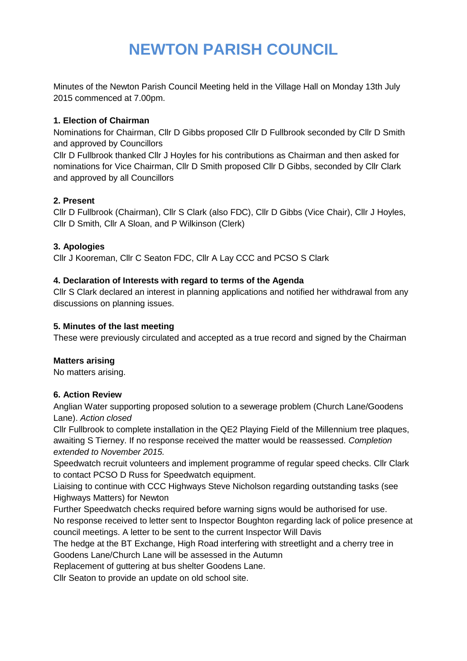# **NEWTON PARISH COUNCIL**

Minutes of the Newton Parish Council Meeting held in the Village Hall on Monday 13th July 2015 commenced at 7.00pm.

## **1. Election of Chairman**

Nominations for Chairman, Cllr D Gibbs proposed Cllr D Fullbrook seconded by Cllr D Smith and approved by Councillors

Cllr D Fullbrook thanked Cllr J Hoyles for his contributions as Chairman and then asked for nominations for Vice Chairman, Cllr D Smith proposed Cllr D Gibbs, seconded by Cllr Clark and approved by all Councillors

# **2. Present**

Cllr D Fullbrook (Chairman), Cllr S Clark (also FDC), Cllr D Gibbs (Vice Chair), Cllr J Hoyles, Cllr D Smith, Cllr A Sloan, and P Wilkinson (Clerk)

## **3. Apologies**

Cllr J Kooreman, Cllr C Seaton FDC, Cllr A Lay CCC and PCSO S Clark

## **4. Declaration of Interests with regard to terms of the Agenda**

Cllr S Clark declared an interest in planning applications and notified her withdrawal from any discussions on planning issues.

## **5. Minutes of the last meeting**

These were previously circulated and accepted as a true record and signed by the Chairman

# **Matters arising**

No matters arising.

#### **6. Action Review**

Anglian Water supporting proposed solution to a sewerage problem (Church Lane/Goodens Lane). *Action closed*

Cllr Fullbrook to complete installation in the QE2 Playing Field of the Millennium tree plaques, awaiting S Tierney. If no response received the matter would be reassessed. *Completion extended to November 2015.*

Speedwatch recruit volunteers and implement programme of regular speed checks. Cllr Clark to contact PCSO D Russ for Speedwatch equipment.

Liaising to continue with CCC Highways Steve Nicholson regarding outstanding tasks (see Highways Matters) for Newton

Further Speedwatch checks required before warning signs would be authorised for use.

No response received to letter sent to Inspector Boughton regarding lack of police presence at council meetings. A letter to be sent to the current Inspector Will Davis

The hedge at the BT Exchange, High Road interfering with streetlight and a cherry tree in Goodens Lane/Church Lane will be assessed in the Autumn

Replacement of guttering at bus shelter Goodens Lane.

Cllr Seaton to provide an update on old school site.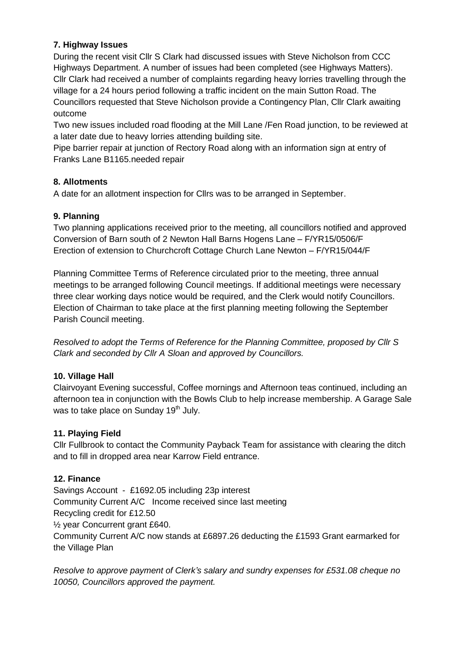# **7. Highway Issues**

During the recent visit Cllr S Clark had discussed issues with Steve Nicholson from CCC Highways Department. A number of issues had been completed (see Highways Matters). Cllr Clark had received a number of complaints regarding heavy lorries travelling through the village for a 24 hours period following a traffic incident on the main Sutton Road. The Councillors requested that Steve Nicholson provide a Contingency Plan, Cllr Clark awaiting outcome

Two new issues included road flooding at the Mill Lane /Fen Road junction, to be reviewed at a later date due to heavy lorries attending building site.

Pipe barrier repair at junction of Rectory Road along with an information sign at entry of Franks Lane B1165.needed repair

## **8. Allotments**

A date for an allotment inspection for Cllrs was to be arranged in September.

## **9. Planning**

Two planning applications received prior to the meeting, all councillors notified and approved Conversion of Barn south of 2 Newton Hall Barns Hogens Lane – F/YR15/0506/F Erection of extension to Churchcroft Cottage Church Lane Newton – F/YR15/044/F

Planning Committee Terms of Reference circulated prior to the meeting, three annual meetings to be arranged following Council meetings. If additional meetings were necessary three clear working days notice would be required, and the Clerk would notify Councillors. Election of Chairman to take place at the first planning meeting following the September Parish Council meeting.

*Resolved to adopt the Terms of Reference for the Planning Committee, proposed by Cllr S Clark and seconded by Cllr A Sloan and approved by Councillors.*

# **10. Village Hall**

Clairvoyant Evening successful, Coffee mornings and Afternoon teas continued, including an afternoon tea in conjunction with the Bowls Club to help increase membership. A Garage Sale was to take place on Sunday 19<sup>th</sup> July.

#### **11. Playing Field**

Cllr Fullbrook to contact the Community Payback Team for assistance with clearing the ditch and to fill in dropped area near Karrow Field entrance.

#### **12. Finance**

Savings Account - £1692.05 including 23p interest Community Current A/C Income received since last meeting Recycling credit for £12.50 ½ year Concurrent grant £640. Community Current A/C now stands at £6897.26 deducting the £1593 Grant earmarked for the Village Plan

*Resolve to approve payment of Clerk's salary and sundry expenses for £531.08 cheque no 10050, Councillors approved the payment.*